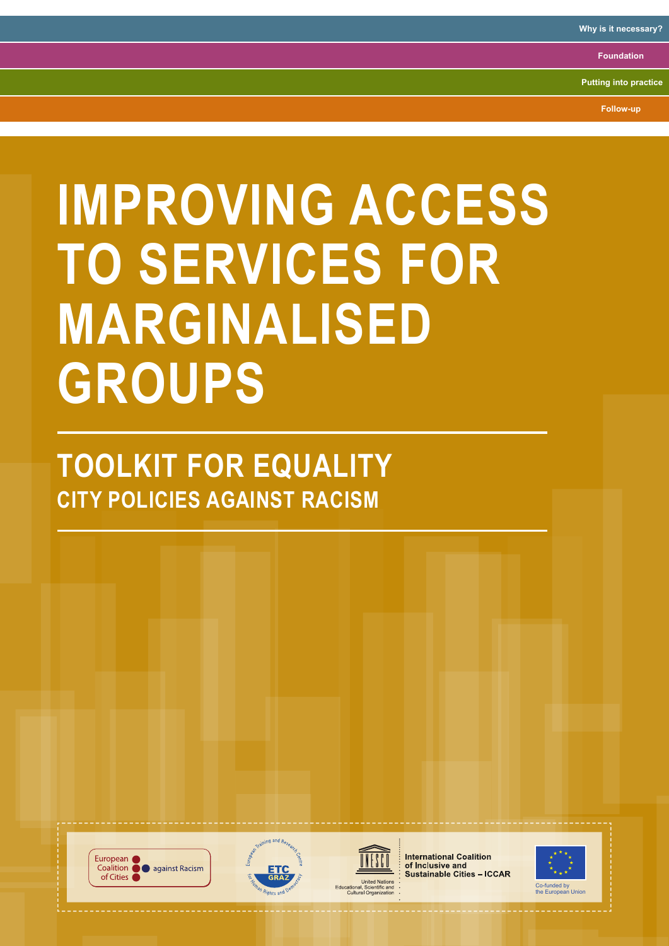**Putting into practice**

**Follow-up**

# **IMPROVING ACCESS TO SERVICES FOR MARGINALISED GROUPS**

### **TOOLKIT FOR EQUALITY CITY POLICIES AGAINST RACISM**







**International Coalition** of Inclusive and Sustainable Cities - ICCAR

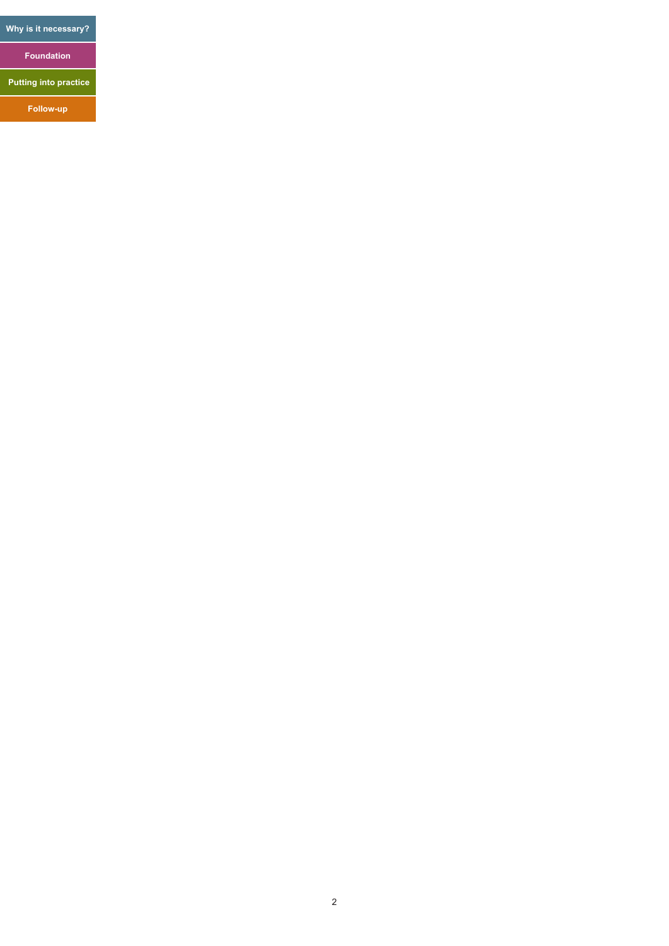#### **Why is it necessary?**

**Foundation**

 **Putting into practice**

**Follow-up**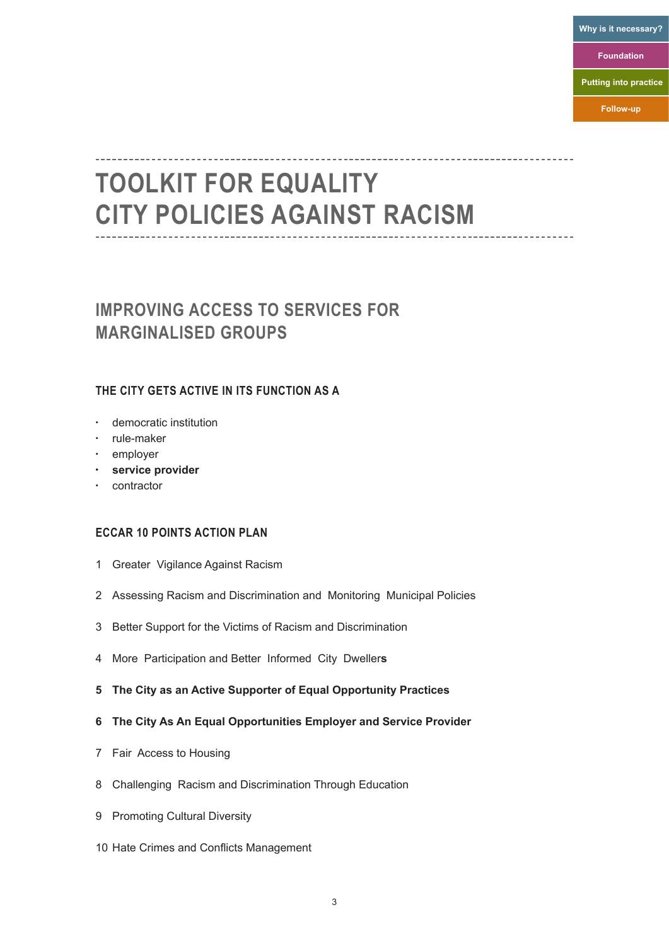**Putting into practice**

**Follow-up**

## **TOOLKIT FOR EQUALITY CITY POLICIES AGAINST RACISM**

### **IMPROVING ACCESS TO SERVICES FOR MARGINALISED GROUPS**

### **THE CITY GETS ACTIVE IN ITS FUNCTION AS A**

- democratic institution
- rule-maker
- employer
- **service provider**
- contractor

### **ECCAR 10 POINTS ACTION PLAN**

- 1 Greater Vigilance Against Racism
- 2 Assessing Racism and Discrimination and Monitoring Municipal Policies
- 3 Better Support for the Victims of Racism and Discrimination
- 4 More Participation and Better Informed City Dweller**s**
- **5 The City as an Active Supporter of Equal Opportunity Practices**
- **6 The City As An Equal Opportunities Employer and Service Provider**
- 7 Fair Access to Housing
- 8 Challenging Racism and Discrimination Through Education
- 9 Promoting Cultural Diversity
- 10 Hate Crimes and Conflicts Management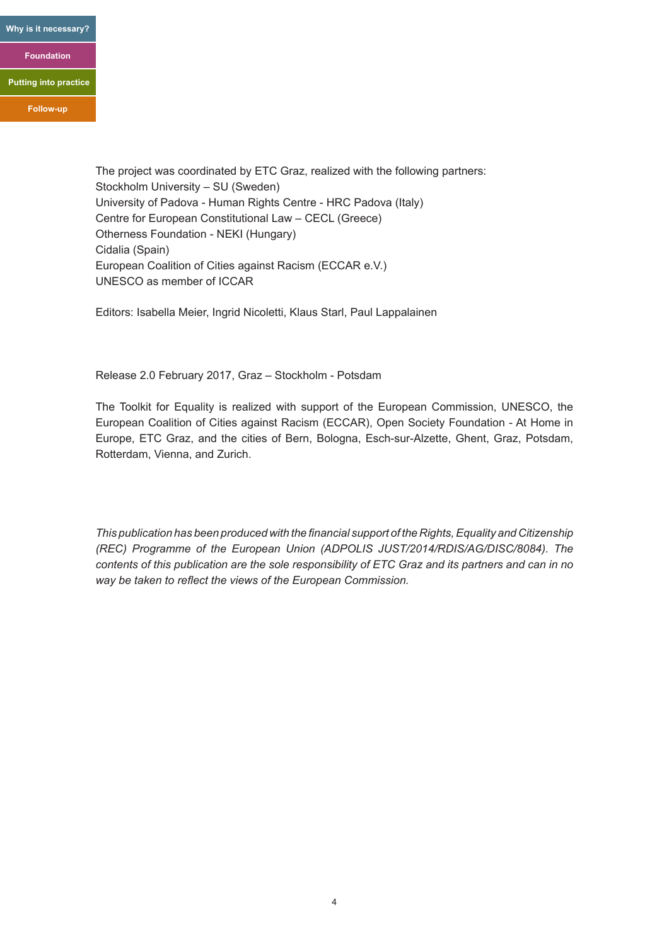**Putting into practice**

**Follow-up**

The project was coordinated by ETC Graz, realized with the following partners: Stockholm University – SU (Sweden) University of Padova - Human Rights Centre - HRC Padova (Italy) Centre for European Constitutional Law – CECL (Greece) Otherness Foundation - NEKI (Hungary) Cidalia (Spain) European Coalition of Cities against Racism (ECCAR e.V.) UNESCO as member of ICCAR

Editors: Isabella Meier, Ingrid Nicoletti, Klaus Starl, Paul Lappalainen

Release 2.0 February 2017, Graz – Stockholm - Potsdam

The Toolkit for Equality is realized with support of the European Commission, UNESCO, the European Coalition of Cities against Racism (ECCAR), Open Society Foundation - At Home in Europe, ETC Graz, and the cities of Bern, Bologna, Esch-sur-Alzette, Ghent, Graz, Potsdam, Rotterdam, Vienna, and Zurich.

*This publication has been produced with the financial support of the Rights, Equality and Citizenship (REC) Programme of the European Union (ADPOLIS JUST/2014/RDIS/AG/DISC/8084). The contents of this publication are the sole responsibility of ETC Graz and its partners and can in no way be taken to reflect the views of the European Commission.*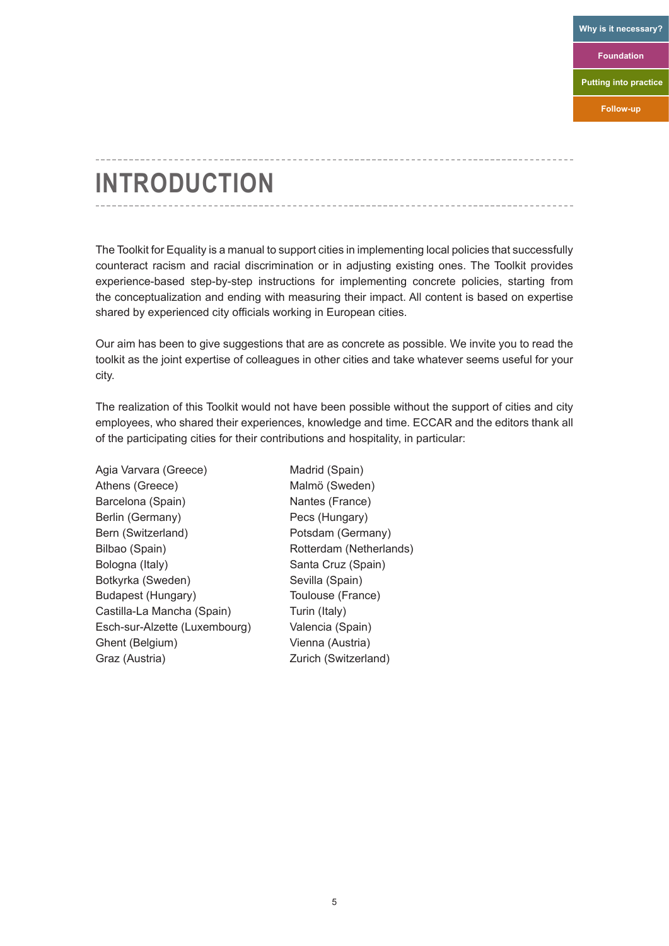**Putting into practice**

**Follow-up**

## **INTRODUCTION**

The Toolkit for Equality is a manual to support cities in implementing local policies that successfully counteract racism and racial discrimination or in adjusting existing ones. The Toolkit provides experience-based step-by-step instructions for implementing concrete policies, starting from the conceptualization and ending with measuring their impact. All content is based on expertise shared by experienced city officials working in European cities.

Our aim has been to give suggestions that are as concrete as possible. We invite you to read the toolkit as the joint expertise of colleagues in other cities and take whatever seems useful for your city.

The realization of this Toolkit would not have been possible without the support of cities and city employees, who shared their experiences, knowledge and time. ECCAR and the editors thank all of the participating cities for their contributions and hospitality, in particular:

| Agia Varvara (Greece)         | Madrid (Spain)          |
|-------------------------------|-------------------------|
| Athens (Greece)               | Malmö (Sweden)          |
| Barcelona (Spain)             | Nantes (France)         |
| Berlin (Germany)              | Pecs (Hungary)          |
| Bern (Switzerland)            | Potsdam (Germany)       |
| Bilbao (Spain)                | Rotterdam (Netherlands) |
| Bologna (Italy)               | Santa Cruz (Spain)      |
| Botkyrka (Sweden)             | Sevilla (Spain)         |
| Budapest (Hungary)            | Toulouse (France)       |
| Castilla-La Mancha (Spain)    | Turin (Italy)           |
| Esch-sur-Alzette (Luxembourg) | Valencia (Spain)        |
| Ghent (Belgium)               | Vienna (Austria)        |
| Graz (Austria)                | Zurich (Switzerland)    |
|                               |                         |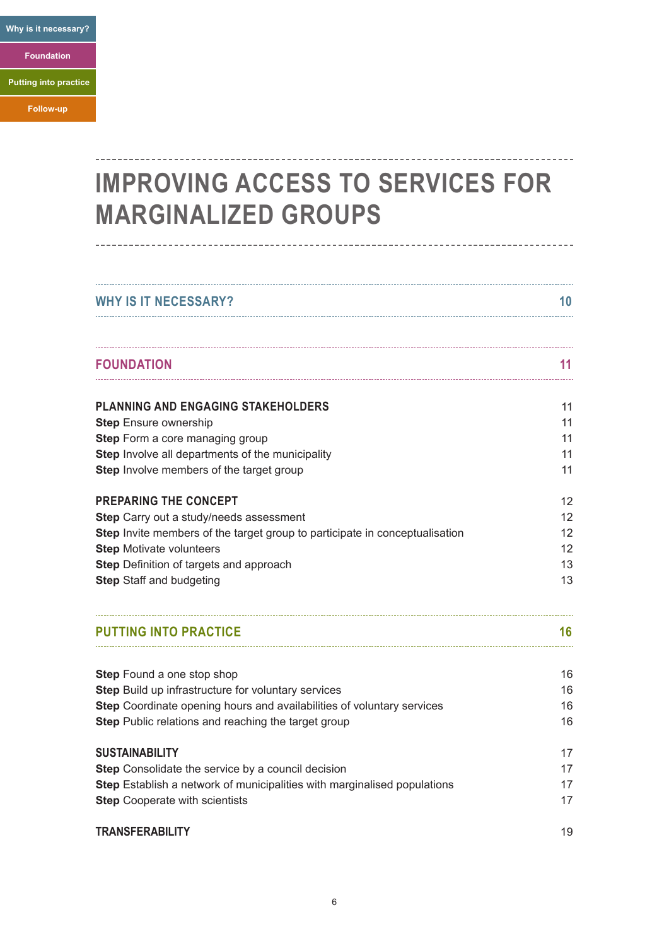**Putting into practice**

**Follow-up**

### **IMPROVING ACCESS TO SERVICES FOR MARGINALIZED GROUPS**

 $\sim$   $-$ 

| <b>WHY IS IT NECESSARY?</b>                                                 | 10 |
|-----------------------------------------------------------------------------|----|
| <b>FOUNDATION</b>                                                           | 11 |
|                                                                             |    |
| <b>PLANNING AND ENGAGING STAKEHOLDERS</b>                                   | 11 |
| <b>Step Ensure ownership</b>                                                | 11 |
| Step Form a core managing group                                             | 11 |
| Step Involve all departments of the municipality                            | 11 |
| Step Involve members of the target group                                    | 11 |
| <b>PREPARING THE CONCEPT</b>                                                | 12 |
| Step Carry out a study/needs assessment                                     | 12 |
| Step Invite members of the target group to participate in conceptualisation | 12 |
| <b>Step Motivate volunteers</b>                                             | 12 |
| Step Definition of targets and approach                                     | 13 |
| <b>Step Staff and budgeting</b>                                             | 13 |
|                                                                             |    |
| <b>PUTTING INTO PRACTICE</b>                                                | 16 |
| Step Found a one stop shop                                                  | 16 |
| Step Build up infrastructure for voluntary services                         | 16 |
| Step Coordinate opening hours and availabilities of voluntary services      | 16 |
| Step Public relations and reaching the target group                         | 16 |
| <b>SUSTAINABILITY</b>                                                       | 17 |
| Step Consolidate the service by a council decision                          | 17 |
| Step Establish a network of municipalities with marginalised populations    | 17 |
| <b>Step Cooperate with scientists</b>                                       | 17 |
| <b>TRANSFERABILITY</b>                                                      | 19 |

6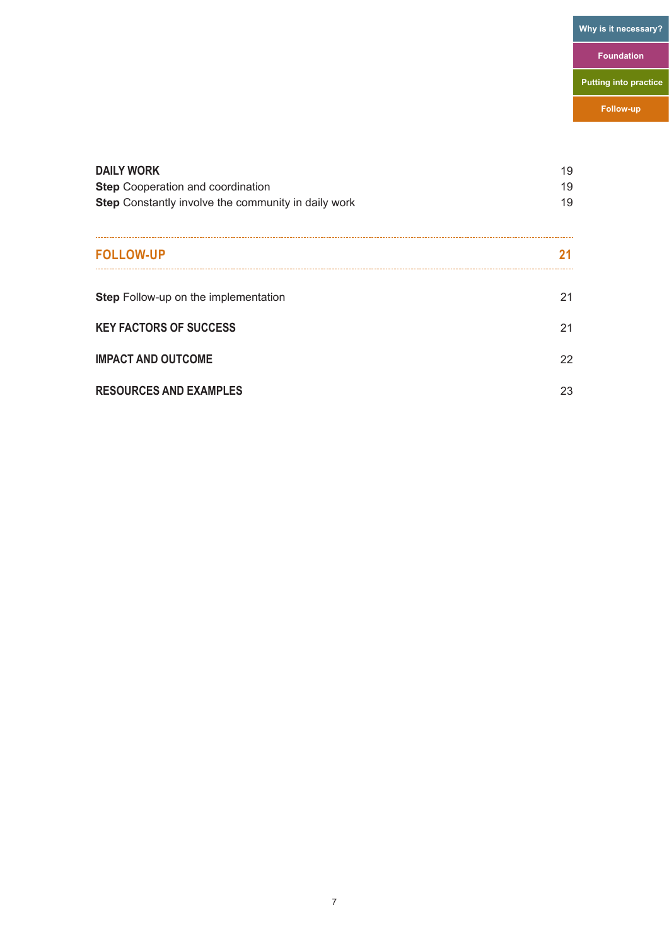**Putting into practice**

**Follow-up**

| <b>DAILY WORK</b><br><b>Step Cooperation and coordination</b><br>Step Constantly involve the community in daily work | 19<br>19<br>19 |
|----------------------------------------------------------------------------------------------------------------------|----------------|
| <b>FOLLOW-UP</b>                                                                                                     |                |
| <b>Step Follow-up on the implementation</b>                                                                          | 21             |
| <b>KEY FACTORS OF SUCCESS</b>                                                                                        | 21             |
| <b>IMPACT AND OUTCOME</b>                                                                                            | 22             |
| <b>RESOURCES AND EXAMPLES</b>                                                                                        | 23             |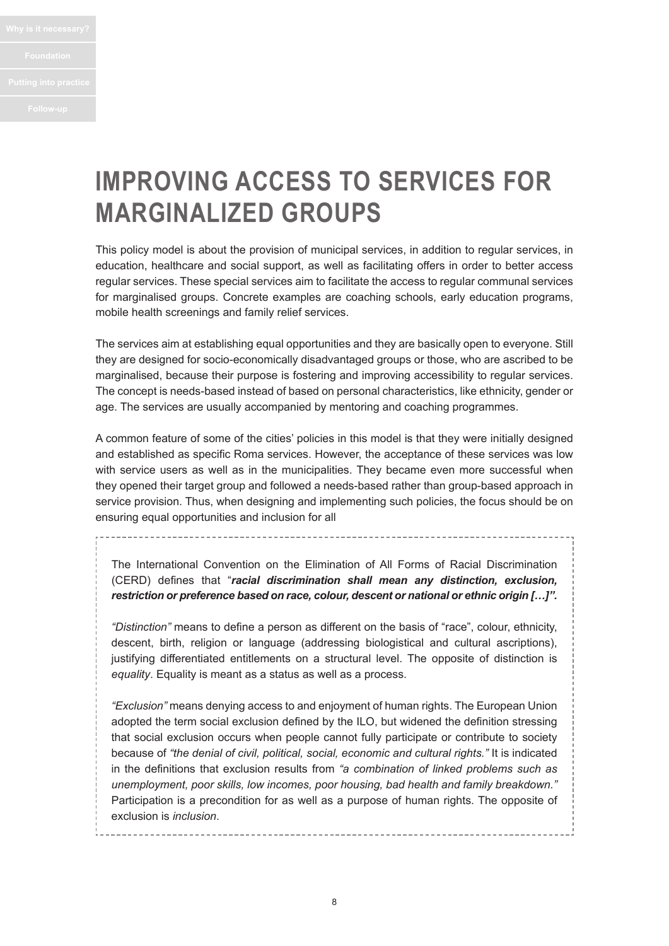### **IMPROVING ACCESS TO SERVICES FOR MARGINALIZED GROUPS**

This policy model is about the provision of municipal services, in addition to regular services, in education, healthcare and social support, as well as facilitating offers in order to better access regular services. These special services aim to facilitate the access to regular communal services for marginalised groups. Concrete examples are coaching schools, early education programs, mobile health screenings and family relief services.

The services aim at establishing equal opportunities and they are basically open to everyone. Still they are designed for socio-economically disadvantaged groups or those, who are ascribed to be marginalised, because their purpose is fostering and improving accessibility to regular services. The concept is needs-based instead of based on personal characteristics, like ethnicity, gender or age. The services are usually accompanied by mentoring and coaching programmes.

A common feature of some of the cities' policies in this model is that they were initially designed and established as specific Roma services. However, the acceptance of these services was low with service users as well as in the municipalities. They became even more successful when they opened their target group and followed a needs-based rather than group-based approach in service provision. Thus, when designing and implementing such policies, the focus should be on ensuring equal opportunities and inclusion for all

The International Convention on the Elimination of All Forms of Racial Discrimination (CERD) defines that "*racial discrimination shall mean any distinction, exclusion, restriction or preference based on race, colour, descent or national or ethnic origin […]".* 

*"Distinction"* means to define a person as different on the basis of "race", colour, ethnicity, descent, birth, religion or language (addressing biologistical and cultural ascriptions), justifying differentiated entitlements on a structural level. The opposite of distinction is *equality*. Equality is meant as a status as well as a process.

*"Exclusion"* means denying access to and enjoyment of human rights. The European Union adopted the term social exclusion defined by the ILO, but widened the definition stressing that social exclusion occurs when people cannot fully participate or contribute to society because of *"the denial of civil, political, social, economic and cultural rights."* It is indicated in the definitions that exclusion results from *"a combination of linked problems such as unemployment, poor skills, low incomes, poor housing, bad health and family breakdown."*  Participation is a precondition for as well as a purpose of human rights. The opposite of exclusion is *inclusion*.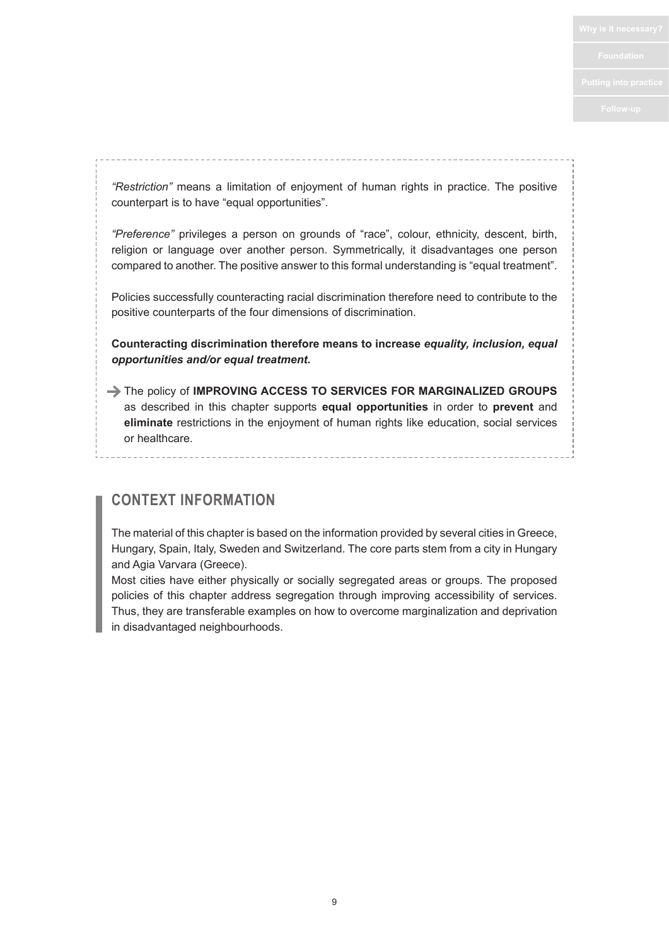*"Restriction"* means a limitation of enjoyment of human rights in practice. The positive counterpart is to have "equal opportunities".

*"Preference"* privileges a person on grounds of "race", colour, ethnicity, descent, birth, religion or language over another person. Symmetrically, it disadvantages one person compared to another. The positive answer to this formal understanding is "equal treatment".

Policies successfully counteracting racial discrimination therefore need to contribute to the positive counterparts of the four dimensions of discrimination.

**Counteracting discrimination therefore means to increase** *equality, inclusion, equal opportunities and/or equal treatment***.**

The policy of **IMPROVING ACCESS TO SERVICES FOR MARGINALIZED GROUPS** as described in this chapter supports **equal opportunities** in order to **prevent** and **eliminate** restrictions in the enjoyment of human rights like education, social services or healthcare.

### **CONTEXT INFORMATION**

The material of this chapter is based on the information provided by several cities in Greece, Hungary, Spain, Italy, Sweden and Switzerland. The core parts stem from a city in Hungary and Agia Varvara (Greece).

Most cities have either physically or socially segregated areas or groups. The proposed policies of this chapter address segregation through improving accessibility of services. Thus, they are transferable examples on how to overcome marginalization and deprivation in disadvantaged neighbourhoods.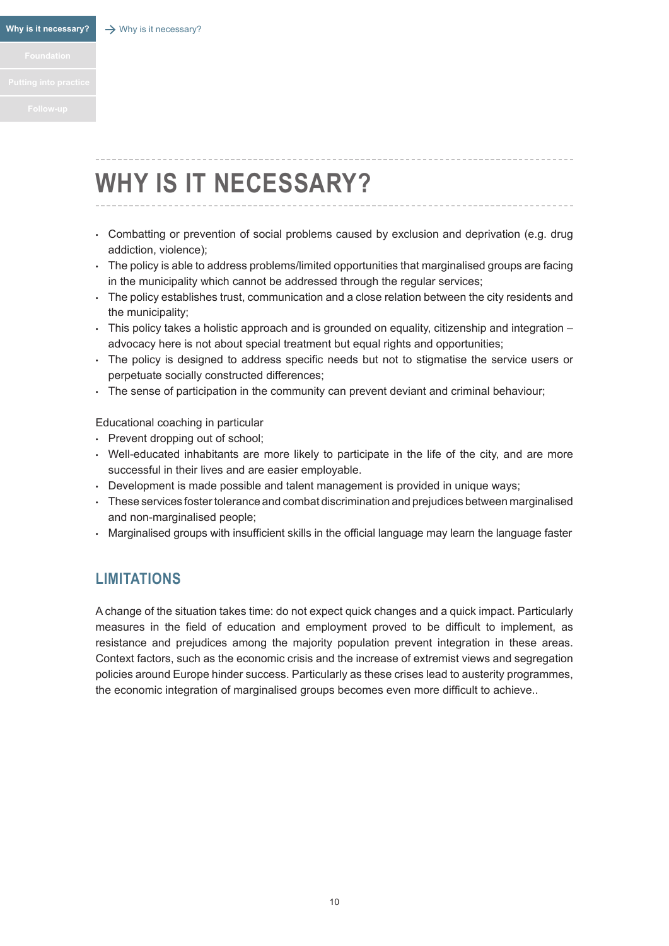**Why is it necessary?**

## **WHY IS IT NECESSARY?**

- Combatting or prevention of social problems caused by exclusion and deprivation (e.g. drug addiction, violence);
- The policy is able to address problems/limited opportunities that marginalised groups are facing in the municipality which cannot be addressed through the regular services;
- The policy establishes trust, communication and a close relation between the city residents and the municipality;
- $\cdot$  This policy takes a holistic approach and is grounded on equality, citizenship and integration advocacy here is not about special treatment but equal rights and opportunities;
- The policy is designed to address specific needs but not to stigmatise the service users or perpetuate socially constructed differences;
- The sense of participation in the community can prevent deviant and criminal behaviour;

Educational coaching in particular

- Prevent dropping out of school;
- Well-educated inhabitants are more likely to participate in the life of the city, and are more successful in their lives and are easier employable.
- Development is made possible and talent management is provided in unique ways;
- These services foster tolerance and combat discrimination and prejudices between marginalised and non-marginalised people;
- Marginalised groups with insufficient skills in the official language may learn the language faster

### **LIMITATIONS**

A change of the situation takes time: do not expect quick changes and a quick impact. Particularly measures in the field of education and employment proved to be difficult to implement, as resistance and prejudices among the majority population prevent integration in these areas. Context factors, such as the economic crisis and the increase of extremist views and segregation policies around Europe hinder success. Particularly as these crises lead to austerity programmes, the economic integration of marginalised groups becomes even more difficult to achieve..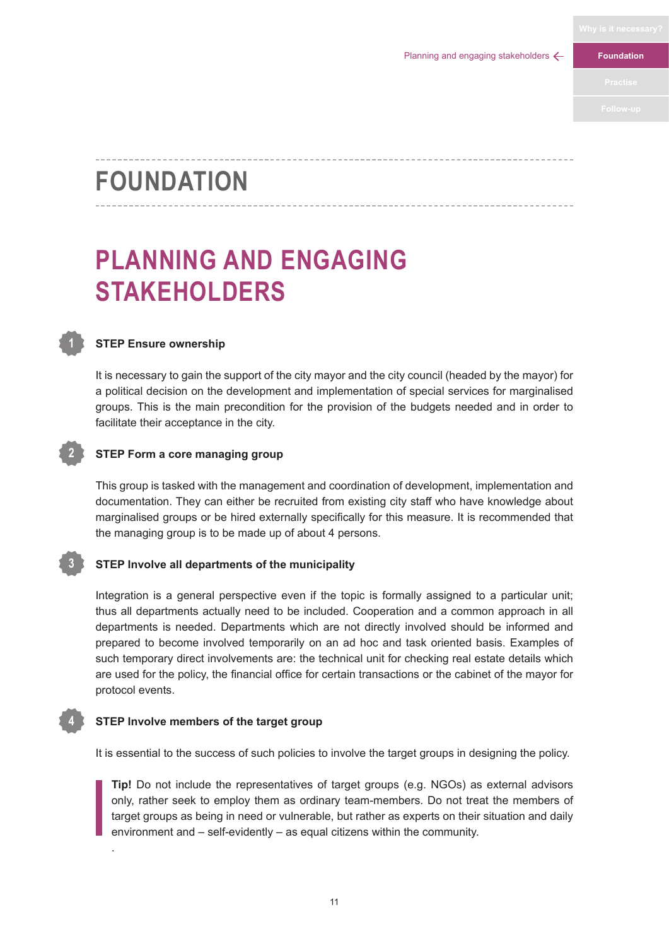### **FOUNDATION**

### **PLANNING AND ENGAGING STAKEHOLDERS**

#### **STEP Ensure ownership**

It is necessary to gain the support of the city mayor and the city council (headed by the mayor) for a political decision on the development and implementation of special services for marginalised groups. This is the main precondition for the provision of the budgets needed and in order to facilitate their acceptance in the city.

#### **2**

**1**

#### **STEP Form a core managing group**

This group is tasked with the management and coordination of development, implementation and documentation. They can either be recruited from existing city staff who have knowledge about marginalised groups or be hired externally specifically for this measure. It is recommended that the managing group is to be made up of about 4 persons.

### **3**

**4**

.

#### **STEP Involve all departments of the municipality**

Integration is a general perspective even if the topic is formally assigned to a particular unit; thus all departments actually need to be included. Cooperation and a common approach in all departments is needed. Departments which are not directly involved should be informed and prepared to become involved temporarily on an ad hoc and task oriented basis. Examples of such temporary direct involvements are: the technical unit for checking real estate details which are used for the policy, the financial office for certain transactions or the cabinet of the mayor for protocol events.

#### **STEP Involve members of the target group**

It is essential to the success of such policies to involve the target groups in designing the policy.

**Tip!** Do not include the representatives of target groups (e.g. NGOs) as external advisors only, rather seek to employ them as ordinary team-members. Do not treat the members of target groups as being in need or vulnerable, but rather as experts on their situation and daily environment and – self-evidently – as equal citizens within the community.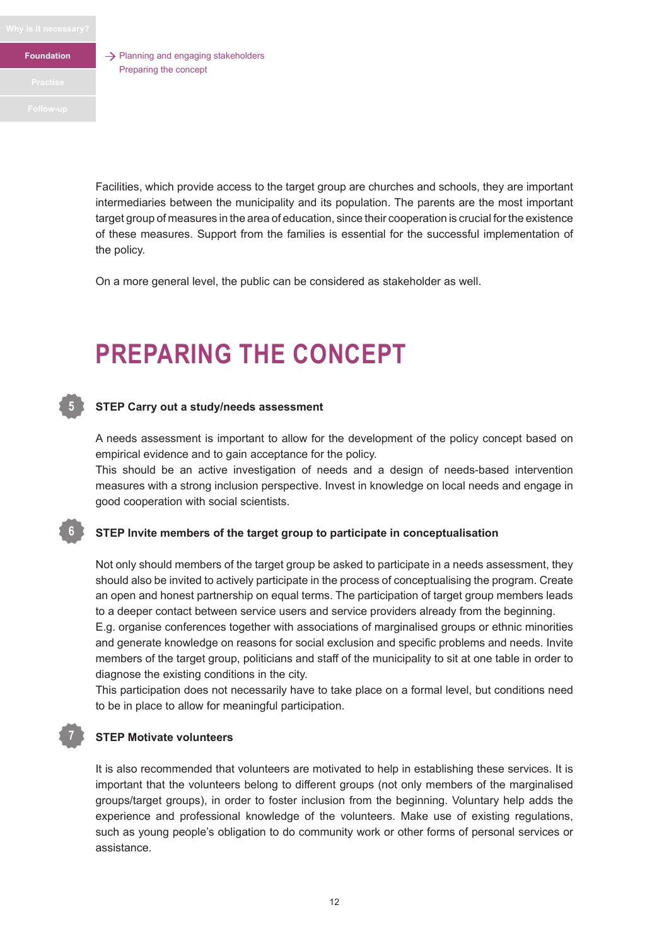**5**

**6**

**7**

 $\rightarrow$  Planning and engaging stakeholders Preparing the concept

Facilities, which provide access to the target group are churches and schools, they are important intermediaries between the municipality and its population. The parents are the most important target group of measures in the area of education, since their cooperation is crucial for the existence of these measures. Support from the families is essential for the successful implementation of the policy.

On a more general level, the public can be considered as stakeholder as well.

### **PREPARING THE CONCEPT**

#### **STEP Carry out a study/needs assessment**

A needs assessment is important to allow for the development of the policy concept based on empirical evidence and to gain acceptance for the policy.

This should be an active investigation of needs and a design of needs-based intervention measures with a strong inclusion perspective. Invest in knowledge on local needs and engage in good cooperation with social scientists.

#### **STEP Invite members of the target group to participate in conceptualisation**

Not only should members of the target group be asked to participate in a needs assessment, they should also be invited to actively participate in the process of conceptualising the program. Create an open and honest partnership on equal terms. The participation of target group members leads to a deeper contact between service users and service providers already from the beginning.

E.g. organise conferences together with associations of marginalised groups or ethnic minorities and generate knowledge on reasons for social exclusion and specific problems and needs. Invite members of the target group, politicians and staff of the municipality to sit at one table in order to diagnose the existing conditions in the city.

This participation does not necessarily have to take place on a formal level, but conditions need to be in place to allow for meaningful participation.

#### **STEP Motivate volunteers**

It is also recommended that volunteers are motivated to help in establishing these services. It is important that the volunteers belong to different groups (not only members of the marginalised groups/target groups), in order to foster inclusion from the beginning. Voluntary help adds the experience and professional knowledge of the volunteers. Make use of existing regulations, such as young people's obligation to do community work or other forms of personal services or assistance.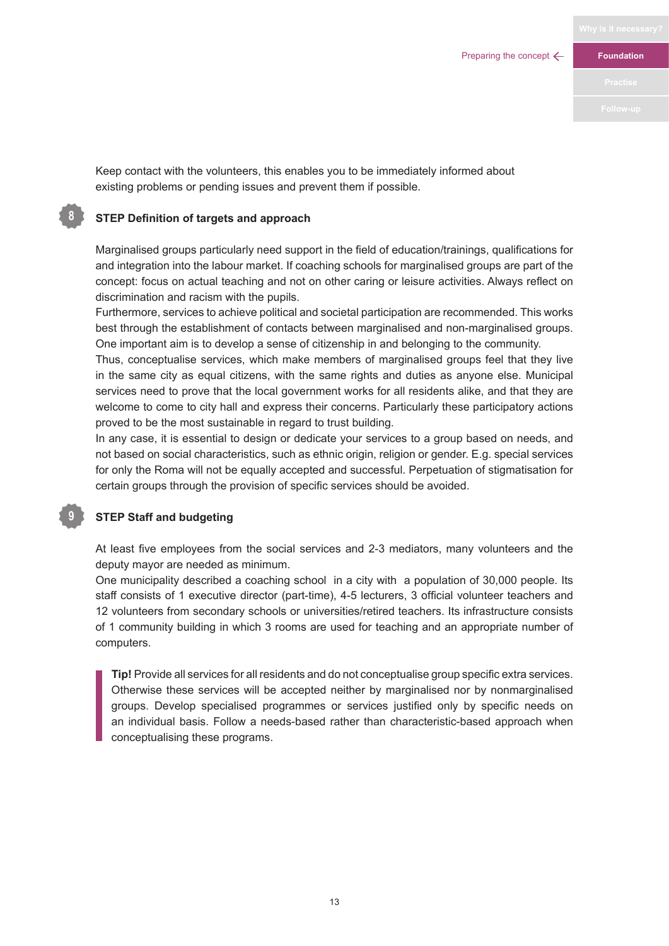Keep contact with the volunteers, this enables you to be immediately informed about existing problems or pending issues and prevent them if possible.

#### **STEP Definition of targets and approach**

**8**

**9**

Marginalised groups particularly need support in the field of education/trainings, qualifications for and integration into the labour market. If coaching schools for marginalised groups are part of the concept: focus on actual teaching and not on other caring or leisure activities. Always reflect on discrimination and racism with the pupils.

Furthermore, services to achieve political and societal participation are recommended. This works best through the establishment of contacts between marginalised and non-marginalised groups. One important aim is to develop a sense of citizenship in and belonging to the community.

Thus, conceptualise services, which make members of marginalised groups feel that they live in the same city as equal citizens, with the same rights and duties as anyone else. Municipal services need to prove that the local government works for all residents alike, and that they are welcome to come to city hall and express their concerns. Particularly these participatory actions proved to be the most sustainable in regard to trust building.

In any case, it is essential to design or dedicate your services to a group based on needs, and not based on social characteristics, such as ethnic origin, religion or gender. E.g. special services for only the Roma will not be equally accepted and successful. Perpetuation of stigmatisation for certain groups through the provision of specific services should be avoided.

#### **STEP Staff and budgeting**

At least five employees from the social services and 2-3 mediators, many volunteers and the deputy mayor are needed as minimum.

One municipality described a coaching school in a city with a population of 30,000 people. Its staff consists of 1 executive director (part-time), 4-5 lecturers, 3 official volunteer teachers and 12 volunteers from secondary schools or universities/retired teachers. Its infrastructure consists of 1 community building in which 3 rooms are used for teaching and an appropriate number of computers.

**Tip!** Provide all services for all residents and do not conceptualise group specific extra services. Otherwise these services will be accepted neither by marginalised nor by nonmarginalised groups. Develop specialised programmes or services justified only by specific needs on an individual basis. Follow a needs-based rather than characteristic-based approach when conceptualising these programs.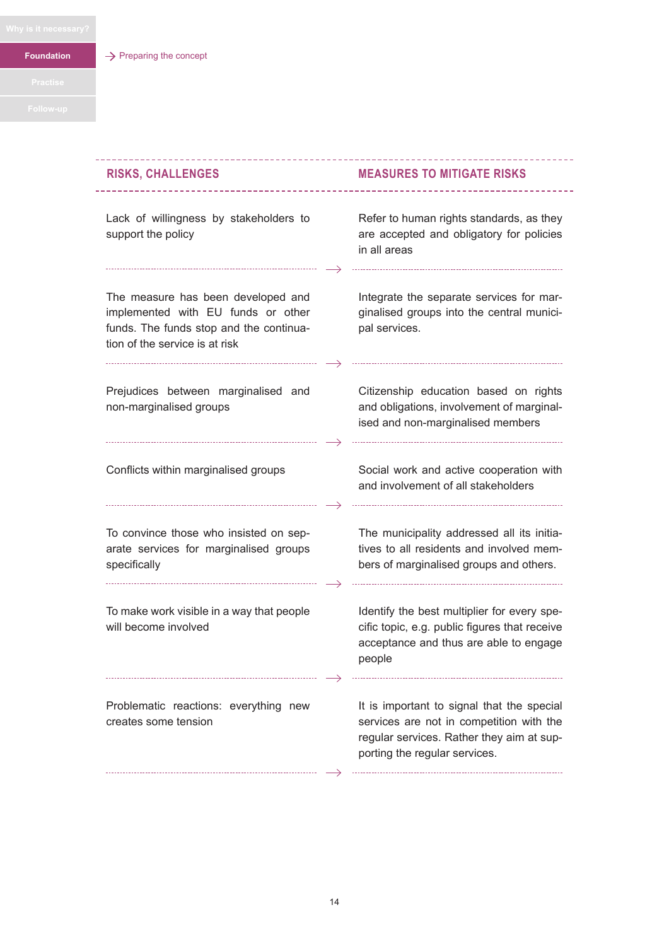| <b>RISKS, CHALLENGES</b>                                                                                                                              | <b>MEASURES TO MITIGATE RISKS</b>                                                                                                                                    |
|-------------------------------------------------------------------------------------------------------------------------------------------------------|----------------------------------------------------------------------------------------------------------------------------------------------------------------------|
| Lack of willingness by stakeholders to<br>support the policy                                                                                          | Refer to human rights standards, as they<br>are accepted and obligatory for policies<br>in all areas                                                                 |
| The measure has been developed and<br>implemented with EU funds or other<br>funds. The funds stop and the continua-<br>tion of the service is at risk | Integrate the separate services for mar-<br>ginalised groups into the central munici-<br>pal services.                                                               |
| Prejudices between marginalised and<br>non-marginalised groups                                                                                        | Citizenship education based on rights<br>and obligations, involvement of marginal-<br>ised and non-marginalised members                                              |
| Conflicts within marginalised groups                                                                                                                  | Social work and active cooperation with<br>and involvement of all stakeholders                                                                                       |
| To convince those who insisted on sep-<br>arate services for marginalised groups<br>specifically                                                      | The municipality addressed all its initia-<br>tives to all residents and involved mem-<br>bers of marginalised groups and others.                                    |
| To make work visible in a way that people<br>will become involved                                                                                     | Identify the best multiplier for every spe-<br>cific topic, e.g. public figures that receive<br>acceptance and thus are able to engage<br>people                     |
| Problematic reactions: everything new<br>creates some tension                                                                                         | It is important to signal that the special<br>services are not in competition with the<br>regular services. Rather they aim at sup-<br>porting the regular services. |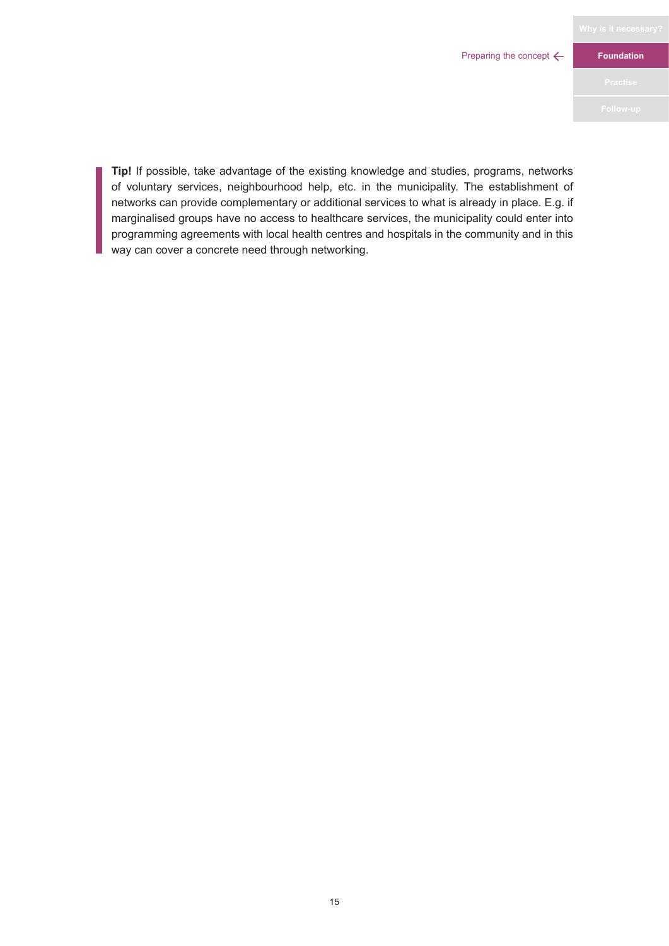**Tip!** If possible, take advantage of the existing knowledge and studies, programs, networks of voluntary services, neighbourhood help, etc. in the municipality. The establishment of networks can provide complementary or additional services to what is already in place. E.g. if marginalised groups have no access to healthcare services, the municipality could enter into programming agreements with local health centres and hospitals in the community and in this way can cover a concrete need through networking.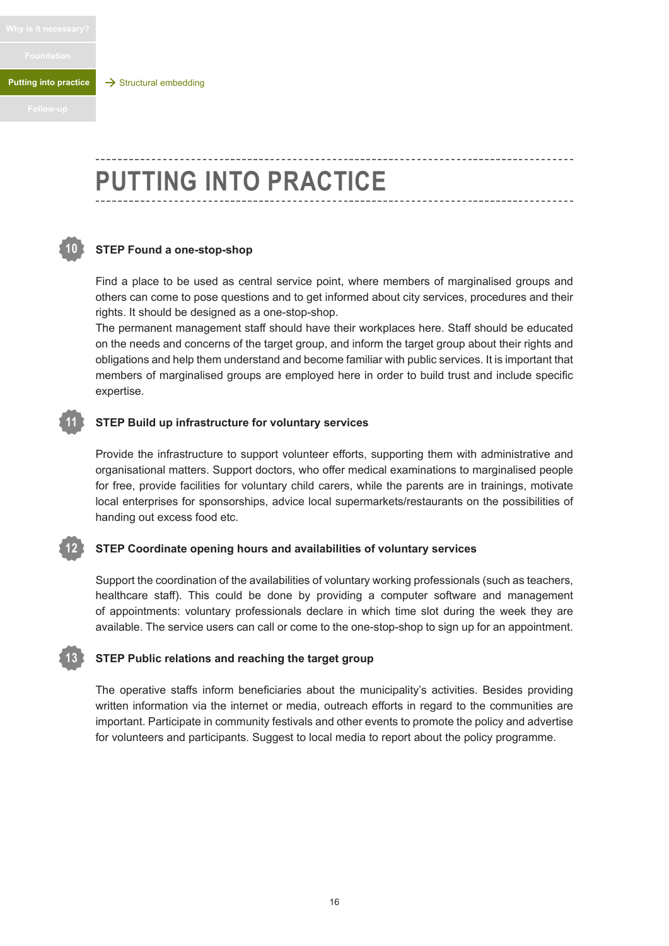**10**

**11**

**12**

**13**

 $\rightarrow$  Structural embedding

## **PUTTING INTO PRACTICE**

#### **STEP Found a one-stop-shop**

Find a place to be used as central service point, where members of marginalised groups and others can come to pose questions and to get informed about city services, procedures and their rights. It should be designed as a one-stop-shop.

The permanent management staff should have their workplaces here. Staff should be educated on the needs and concerns of the target group, and inform the target group about their rights and obligations and help them understand and become familiar with public services. It is important that members of marginalised groups are employed here in order to build trust and include specific expertise.

#### **STEP Build up infrastructure for voluntary services**

Provide the infrastructure to support volunteer efforts, supporting them with administrative and organisational matters. Support doctors, who offer medical examinations to marginalised people for free, provide facilities for voluntary child carers, while the parents are in trainings, motivate local enterprises for sponsorships, advice local supermarkets/restaurants on the possibilities of handing out excess food etc.

#### **STEP Coordinate opening hours and availabilities of voluntary services**

Support the coordination of the availabilities of voluntary working professionals (such as teachers, healthcare staff). This could be done by providing a computer software and management of appointments: voluntary professionals declare in which time slot during the week they are available. The service users can call or come to the one-stop-shop to sign up for an appointment.

#### **STEP Public relations and reaching the target group**

The operative staffs inform beneficiaries about the municipality's activities. Besides providing written information via the internet or media, outreach efforts in regard to the communities are important. Participate in community festivals and other events to promote the policy and advertise for volunteers and participants. Suggest to local media to report about the policy programme.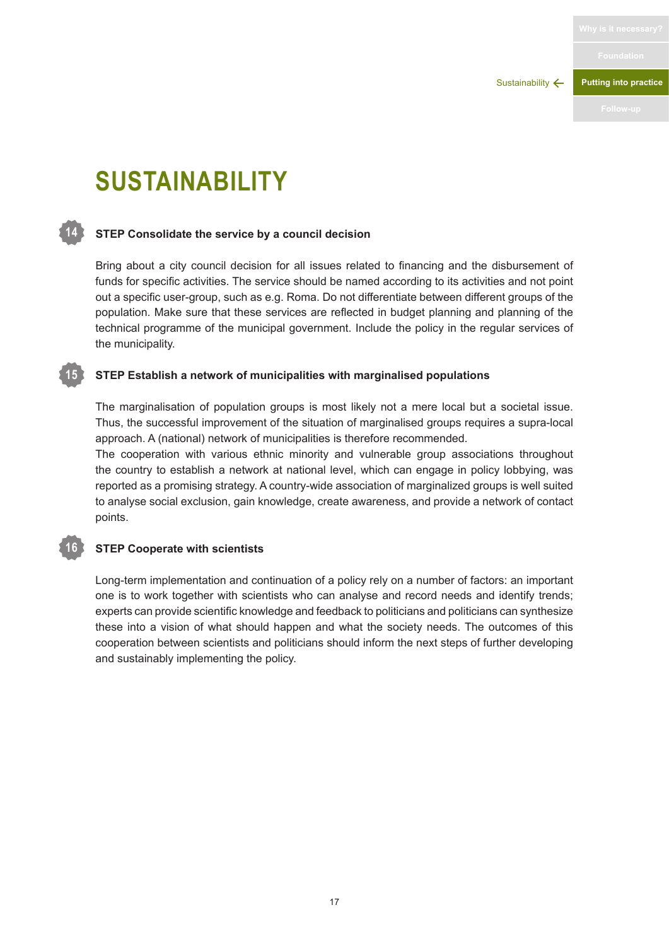Sustainability ←

 **Putting into practice**

### **SUSTAINABILITY**

**14**

**15**

**16**

#### **STEP Consolidate the service by a council decision**

Bring about a city council decision for all issues related to financing and the disbursement of funds for specific activities. The service should be named according to its activities and not point out a specific user-group, such as e.g. Roma. Do not differentiate between different groups of the population. Make sure that these services are reflected in budget planning and planning of the technical programme of the municipal government. Include the policy in the regular services of the municipality.

#### **STEP Establish a network of municipalities with marginalised populations**

The marginalisation of population groups is most likely not a mere local but a societal issue. Thus, the successful improvement of the situation of marginalised groups requires a supra-local approach. A (national) network of municipalities is therefore recommended.

The cooperation with various ethnic minority and vulnerable group associations throughout the country to establish a network at national level, which can engage in policy lobbying, was reported as a promising strategy. A country-wide association of marginalized groups is well suited to analyse social exclusion, gain knowledge, create awareness, and provide a network of contact points.

#### **STEP Cooperate with scientists**

Long-term implementation and continuation of a policy rely on a number of factors: an important one is to work together with scientists who can analyse and record needs and identify trends; experts can provide scientific knowledge and feedback to politicians and politicians can synthesize these into a vision of what should happen and what the society needs. The outcomes of this cooperation between scientists and politicians should inform the next steps of further developing and sustainably implementing the policy.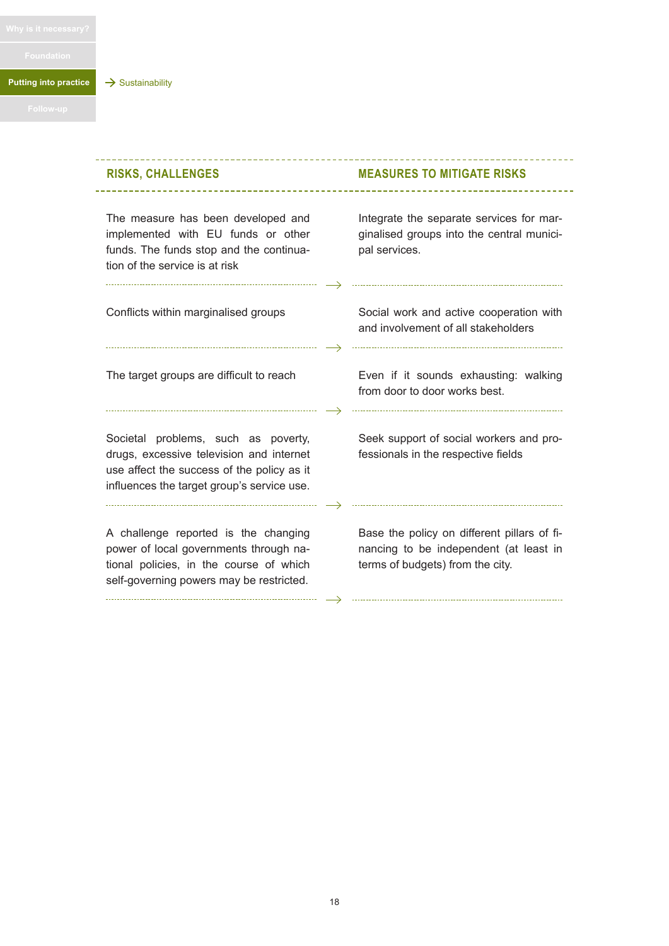$\rightarrow$  Sustainability

| <b>RISKS, CHALLENGES</b>                                                                                                                                                    | <b>MEASURES TO MITIGATE RISKS</b>                                                                                         |
|-----------------------------------------------------------------------------------------------------------------------------------------------------------------------------|---------------------------------------------------------------------------------------------------------------------------|
| The measure has been developed and<br>implemented with EU funds or other<br>funds. The funds stop and the continua-<br>tion of the service is at risk                       | Integrate the separate services for mar-<br>ginalised groups into the central munici-<br>pal services.                    |
| Conflicts within marginalised groups                                                                                                                                        | Social work and active cooperation with<br>and involvement of all stakeholders                                            |
| The target groups are difficult to reach                                                                                                                                    | Even if it sounds exhausting: walking<br>from door to door works best.                                                    |
| Societal problems, such as poverty,<br>drugs, excessive television and internet<br>use affect the success of the policy as it<br>influences the target group's service use. | Seek support of social workers and pro-<br>fessionals in the respective fields                                            |
| A challenge reported is the changing<br>power of local governments through na-<br>tional policies, in the course of which<br>self-governing powers may be restricted.       | Base the policy on different pillars of fi-<br>nancing to be independent (at least in<br>terms of budgets) from the city. |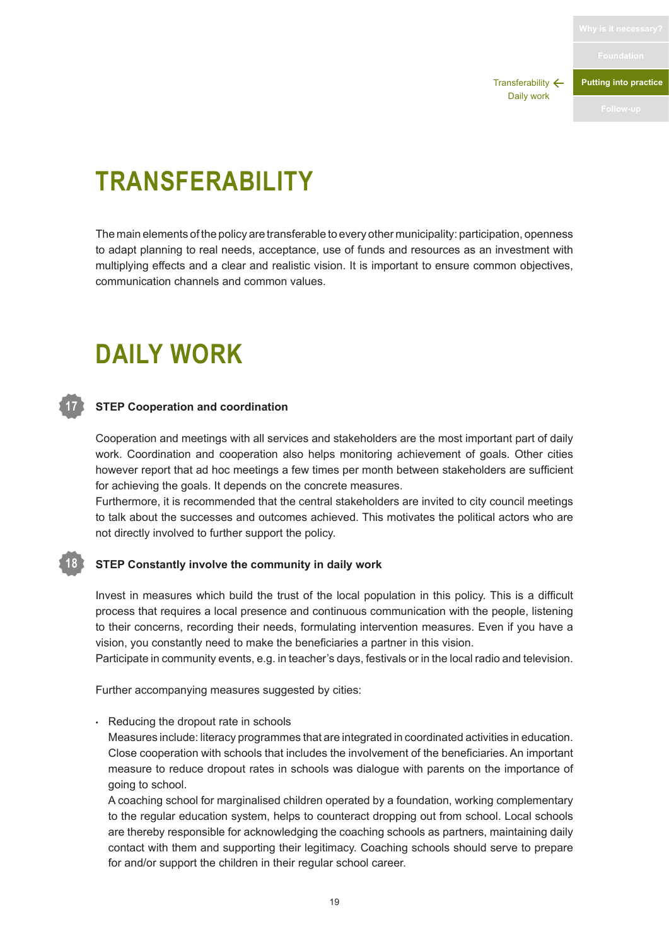Transferability ← Daily work

### **TRANSFERABILITY**

The main elements of the policy are transferable to every other municipality: participation, openness to adapt planning to real needs, acceptance, use of funds and resources as an investment with multiplying effects and a clear and realistic vision. It is important to ensure common objectives, communication channels and common values.

### **DAILY WORK**

**18**

**17**

#### **STEP Cooperation and coordination**

Cooperation and meetings with all services and stakeholders are the most important part of daily work. Coordination and cooperation also helps monitoring achievement of goals. Other cities however report that ad hoc meetings a few times per month between stakeholders are sufficient for achieving the goals. It depends on the concrete measures.

Furthermore, it is recommended that the central stakeholders are invited to city council meetings to talk about the successes and outcomes achieved. This motivates the political actors who are not directly involved to further support the policy.

#### **STEP Constantly involve the community in daily work**

Invest in measures which build the trust of the local population in this policy. This is a difficult process that requires a local presence and continuous communication with the people, listening to their concerns, recording their needs, formulating intervention measures. Even if you have a vision, you constantly need to make the beneficiaries a partner in this vision.

Participate in community events, e.g. in teacher's days, festivals or in the local radio and television.

Further accompanying measures suggested by cities:

#### • Reducing the dropout rate in schools

 Measures include: literacy programmes that are integrated in coordinated activities in education. Close cooperation with schools that includes the involvement of the beneficiaries. An important measure to reduce dropout rates in schools was dialogue with parents on the importance of going to school.

 A coaching school for marginalised children operated by a foundation, working complementary to the regular education system, helps to counteract dropping out from school. Local schools are thereby responsible for acknowledging the coaching schools as partners, maintaining daily contact with them and supporting their legitimacy. Coaching schools should serve to prepare for and/or support the children in their regular school career.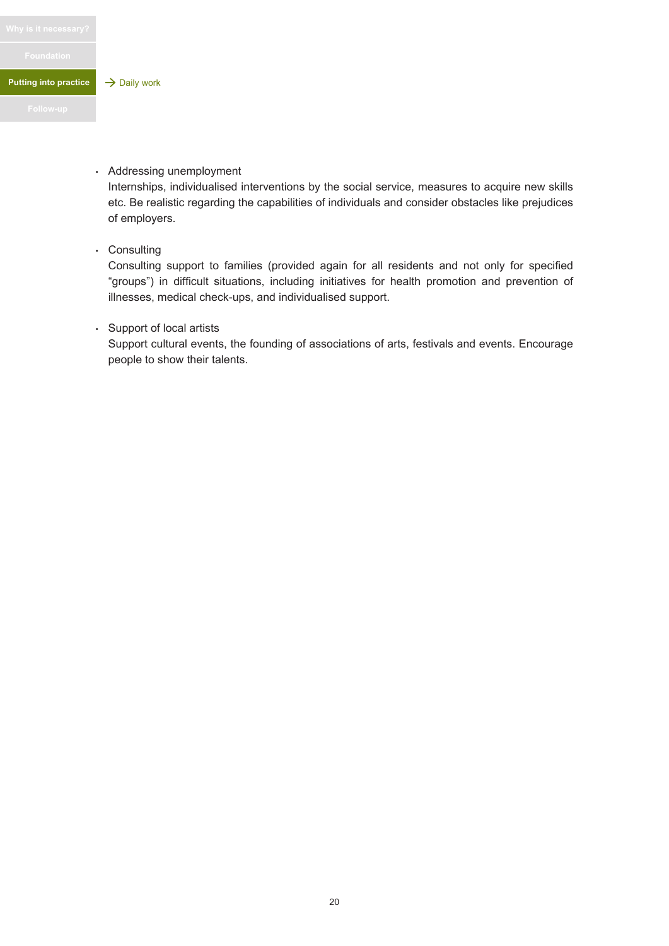$\rightarrow$  Daily work

#### • Addressing unemployment

 Internships, individualised interventions by the social service, measures to acquire new skills etc. Be realistic regarding the capabilities of individuals and consider obstacles like prejudices of employers.

#### • Consulting

Consulting support to families (provided again for all residents and not only for specified "groups") in difficult situations, including initiatives for health promotion and prevention of illnesses, medical check-ups, and individualised support.

#### • Support of local artists

 Support cultural events, the founding of associations of arts, festivals and events. Encourage people to show their talents.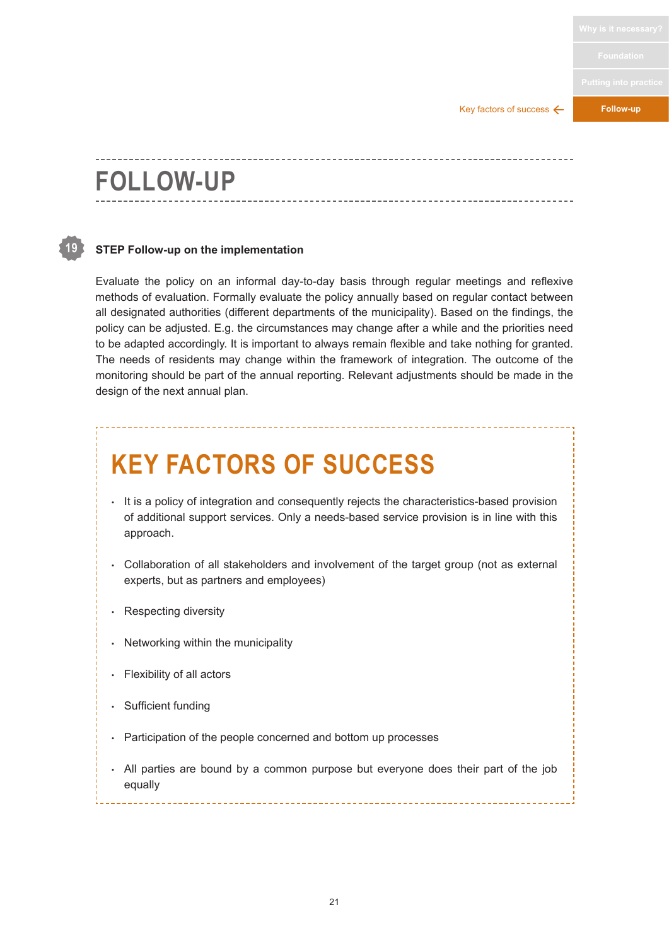Key factors of success  $\leftarrow$ 

**Follow-up**

### **FOLLOW-UP**

**19**

#### **STEP Follow-up on the implementation**

Evaluate the policy on an informal day-to-day basis through regular meetings and reflexive methods of evaluation. Formally evaluate the policy annually based on regular contact between all designated authorities (different departments of the municipality). Based on the findings, the policy can be adjusted. E.g. the circumstances may change after a while and the priorities need to be adapted accordingly. It is important to always remain flexible and take nothing for granted. The needs of residents may change within the framework of integration. The outcome of the monitoring should be part of the annual reporting. Relevant adjustments should be made in the design of the next annual plan.

----------------------------

### **KEY FACTORS OF SUCCESS**

- It is a policy of integration and consequently rejects the characteristics-based provision of additional support services. Only a needs-based service provision is in line with this approach.
- Collaboration of all stakeholders and involvement of the target group (not as external experts, but as partners and employees)
- Respecting diversity
- Networking within the municipality
- Flexibility of all actors
- • Sufficient funding

 $\overline{a}$ 

- Participation of the people concerned and bottom up processes
- All parties are bound by a common purpose but everyone does their part of the job equally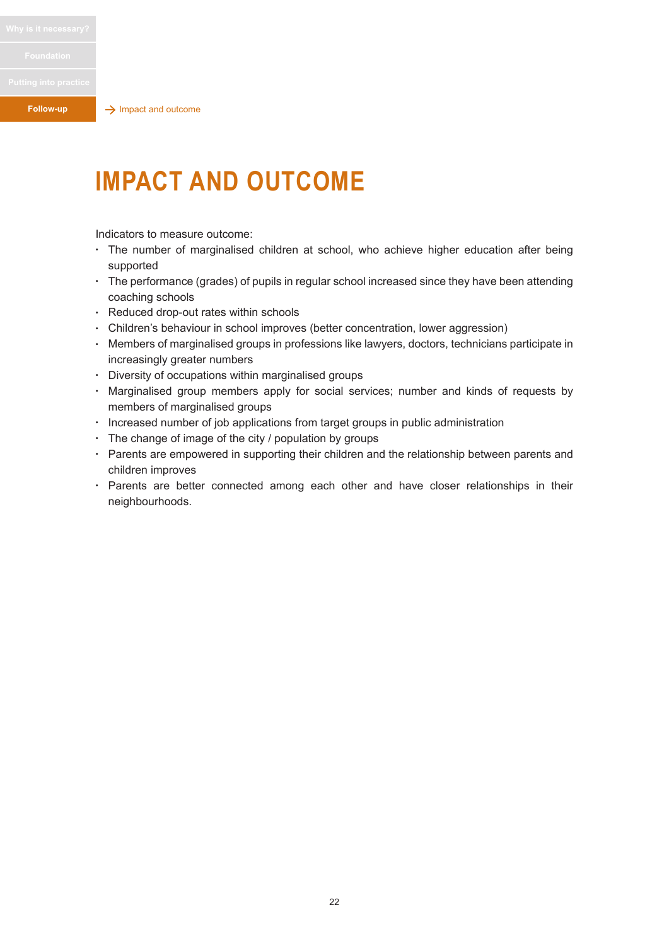**Follow-up**

 $\rightarrow$  Impact and outcome

### **IMPACT AND OUTCOME**

Indicators to measure outcome:

- The number of marginalised children at school, who achieve higher education after being supported
- The performance (grades) of pupils in regular school increased since they have been attending coaching schools
- Reduced drop-out rates within schools
- Children's behaviour in school improves (better concentration, lower aggression)
- Members of marginalised groups in professions like lawyers, doctors, technicians participate in increasingly greater numbers
- Diversity of occupations within marginalised groups
- Marginalised group members apply for social services; number and kinds of requests by members of marginalised groups
- Increased number of job applications from target groups in public administration
- The change of image of the city / population by groups
- Parents are empowered in supporting their children and the relationship between parents and children improves
- Parents are better connected among each other and have closer relationships in their neighbourhoods.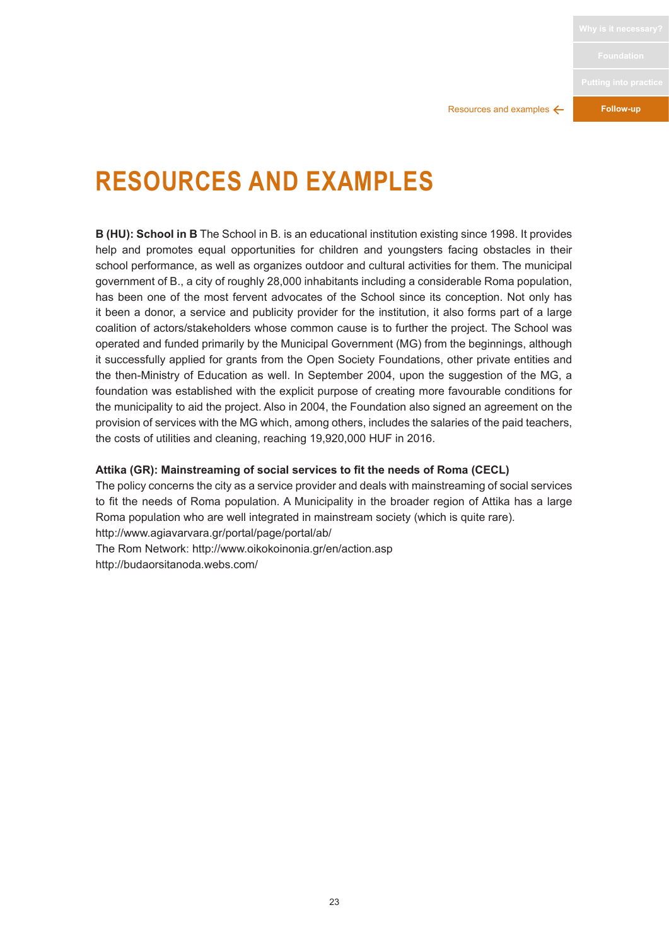Resources and examples

**Follow-up**

### **RESOURCES AND EXAMPLES**

**B (HU): School in B** The School in B. is an educational institution existing since 1998. It provides help and promotes equal opportunities for children and youngsters facing obstacles in their school performance, as well as organizes outdoor and cultural activities for them. The municipal government of B., a city of roughly 28,000 inhabitants including a considerable Roma population, has been one of the most fervent advocates of the School since its conception. Not only has it been a donor, a service and publicity provider for the institution, it also forms part of a large coalition of actors/stakeholders whose common cause is to further the project. The School was operated and funded primarily by the Municipal Government (MG) from the beginnings, although it successfully applied for grants from the Open Society Foundations, other private entities and the then-Ministry of Education as well. In September 2004, upon the suggestion of the MG, a foundation was established with the explicit purpose of creating more favourable conditions for the municipality to aid the project. Also in 2004, the Foundation also signed an agreement on the provision of services with the MG which, among others, includes the salaries of the paid teachers, the costs of utilities and cleaning, reaching 19,920,000 HUF in 2016.

#### **Attika (GR): Mainstreaming of social services to fit the needs of Roma (CECL)**

The policy concerns the city as a service provider and deals with mainstreaming of social services to fit the needs of Roma population. A Municipality in the broader region of Attika has a large Roma population who are well integrated in mainstream society (which is quite rare). http://www.agiavarvara.gr/portal/page/portal/ab/ The Rom Network: http://www.oikokoinonia.gr/en/action.asp http://budaorsitanoda.webs.com/